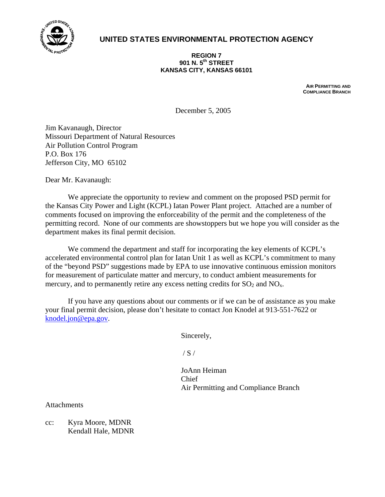

# **UNITED STATES ENVIRONMENTAL PROTECTION AGENCY**

#### **REGION 7 901 N. 5th STREET KANSAS CITY, KANSAS 66101**

**AIR PERMITTING AND COMPLIANCE BRANCH**

December 5, 2005

Jim Kavanaugh, Director Missouri Department of Natural Resources Air Pollution Control Program P.O. Box 176 Jefferson City, MO 65102

Dear Mr. Kavanaugh:

We appreciate the opportunity to review and comment on the proposed PSD permit for the Kansas City Power and Light (KCPL) Iatan Power Plant project. Attached are a number of comments focused on improving the enforceability of the permit and the completeness of the permitting record. None of our comments are showstoppers but we hope you will consider as the department makes its final permit decision.

We commend the department and staff for incorporating the key elements of KCPL's accelerated environmental control plan for Iatan Unit 1 as well as KCPL's commitment to many of the "beyond PSD" suggestions made by EPA to use innovative continuous emission monitors for measurement of particulate matter and mercury, to conduct ambient measurements for mercury, and to permanently retire any excess netting credits for  $SO_2$  and  $NO_x$ .

If you have any questions about our comments or if we can be of assistance as you make your final permit decision, please don't hesitate to contact Jon Knodel at 913-551-7622 or [knodel.jon@epa.gov.](mailto:knodel.jon@epa.gov)

Sincerely,

 $/ S /$ 

 JoAnn Heiman Chief Air Permitting and Compliance Branch

**Attachments** 

cc: Kyra Moore, MDNR Kendall Hale, MDNR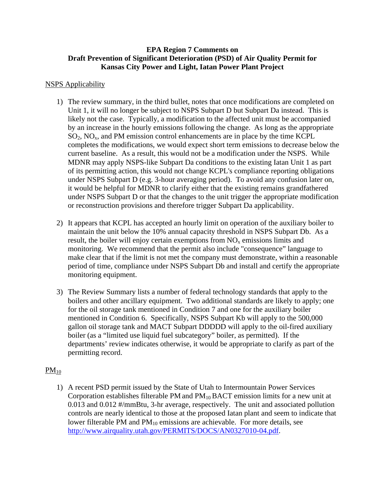## **EPA Region 7 Comments on Draft Prevention of Significant Deterioration (PSD) of Air Quality Permit for Kansas City Power and Light, Iatan Power Plant Project**

## NSPS Applicability

- 1) The review summary, in the third bullet, notes that once modifications are completed on Unit 1, it will no longer be subject to NSPS Subpart D but Subpart Da instead. This is likely not the case. Typically, a modification to the affected unit must be accompanied by an increase in the hourly emissions following the change. As long as the appropriate  $SO_2$ ,  $NO_x$ , and PM emission control enhancements are in place by the time KCPL completes the modifications, we would expect short term emissions to decrease below the current baseline. As a result, this would not be a modification under the NSPS. While MDNR may apply NSPS-like Subpart Da conditions to the existing Iatan Unit 1 as part of its permitting action, this would not change KCPL's compliance reporting obligations under NSPS Subpart D (e.g. 3-hour averaging period). To avoid any confusion later on, it would be helpful for MDNR to clarify either that the existing remains grandfathered under NSPS Subpart D or that the changes to the unit trigger the appropriate modification or reconstruction provisions and therefore trigger Subpart Da applicability.
- 2) It appears that KCPL has accepted an hourly limit on operation of the auxiliary boiler to maintain the unit below the 10% annual capacity threshold in NSPS Subpart Db. As a result, the boiler will enjoy certain exemptions from  $NO<sub>x</sub>$  emissions limits and monitoring. We recommend that the permit also include "consequence" language to make clear that if the limit is not met the company must demonstrate, within a reasonable period of time, compliance under NSPS Subpart Db and install and certify the appropriate monitoring equipment.
- 3) The Review Summary lists a number of federal technology standards that apply to the boilers and other ancillary equipment. Two additional standards are likely to apply; one for the oil storage tank mentioned in Condition 7 and one for the auxiliary boiler mentioned in Condition 6. Specifically, NSPS Subpart Kb will apply to the 500,000 gallon oil storage tank and MACT Subpart DDDDD will apply to the oil-fired auxiliary boiler (as a "limited use liquid fuel subcategory" boiler, as permitted). If the departments' review indicates otherwise, it would be appropriate to clarify as part of the permitting record.

# $PM_{10}$

1) A recent PSD permit issued by the State of Utah to Intermountain Power Services Corporation establishes filterable PM and  $PM_{10}$  BACT emission limits for a new unit at 0.013 and 0.012 #/mmBtu, 3-hr average, respectively. The unit and associated pollution controls are nearly identical to those at the proposed Iatan plant and seem to indicate that lower filterable PM and  $PM_{10}$  emissions are achievable. For more details, see <http://www.airquality.utah.gov/PERMITS/DOCS/AN0327010-04.pdf>.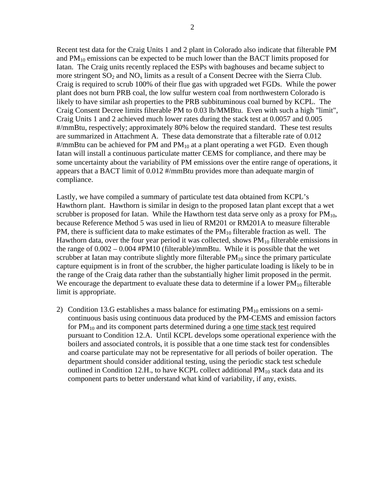Recent test data for the Craig Units 1 and 2 plant in Colorado also indicate that filterable PM and  $PM_{10}$  emissions can be expected to be much lower than the BACT limits proposed for Iatan. The Craig units recently replaced the ESPs with baghouses and became subject to more stringent  $SO_2$  and  $NO_x$  limits as a result of a Consent Decree with the Sierra Club. Craig is required to scrub 100% of their flue gas with upgraded wet FGDs. While the power plant does not burn PRB coal, the low sulfur western coal from northwestern Colorado is likely to have similar ash properties to the PRB subbituminous coal burned by KCPL. The Craig Consent Decree limits filterable PM to 0.03 lb/MMBtu. Even with such a high "limit", Craig Units 1 and 2 achieved much lower rates during the stack test at 0.0057 and 0.005 #/mmBtu, respectively; approximately 80% below the required standard. These test results are summarized in Attachment A. These data demonstrate that a filterable rate of 0.012  $\#/\text{mm}$ Btu can be achieved for PM and PM<sub>10</sub> at a plant operating a wet FGD. Even though Iatan will install a continuous particulate matter CEMS for compliance, and there may be some uncertainty about the variability of PM emissions over the entire range of operations, it appears that a BACT limit of 0.012 #/mmBtu provides more than adequate margin of compliance.

Lastly, we have compiled a summary of particulate test data obtained from KCPL's Hawthorn plant. Hawthorn is similar in design to the proposed Iatan plant except that a wet scrubber is proposed for Iatan. While the Hawthorn test data serve only as a proxy for  $PM_{10}$ , because Reference Method 5 was used in lieu of RM201 or RM201A to measure filterable PM, there is sufficient data to make estimates of the  $PM_{10}$  filterable fraction as well. The Hawthorn data, over the four year period it was collected, shows  $PM_{10}$  filterable emissions in the range of  $0.002 - 0.004$  #PM10 (filterable)/mmBtu. While it is possible that the wet scrubber at Iatan may contribute slightly more filterable  $PM_{10}$  since the primary particulate capture equipment is in front of the scrubber, the higher particulate loading is likely to be in the range of the Craig data rather than the substantially higher limit proposed in the permit. We encourage the department to evaluate these data to determine if a lower  $PM_{10}$  filterable limit is appropriate.

2) Condition 13.G establishes a mass balance for estimating  $PM_{10}$  emissions on a semicontinuous basis using continuous data produced by the PM-CEMS and emission factors for  $PM_{10}$  and its component parts determined during a one time stack test required pursuant to Condition 12.A. Until KCPL develops some operational experience with the boilers and associated controls, it is possible that a one time stack test for condensibles and coarse particulate may not be representative for all periods of boiler operation. The department should consider additional testing, using the periodic stack test schedule outlined in Condition 12.H., to have KCPL collect additional  $PM_{10}$  stack data and its component parts to better understand what kind of variability, if any, exists.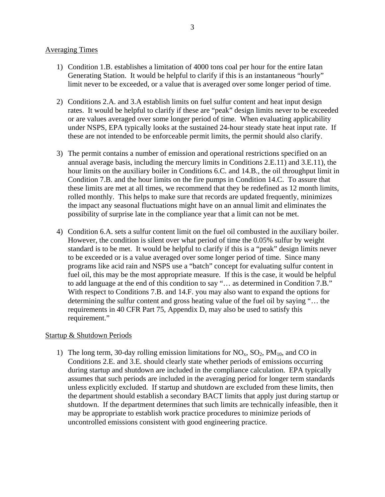### Averaging Times

- 1) Condition 1.B. establishes a limitation of 4000 tons coal per hour for the entire Iatan Generating Station. It would be helpful to clarify if this is an instantaneous "hourly" limit never to be exceeded, or a value that is averaged over some longer period of time.
- 2) Conditions 2.A. and 3.A establish limits on fuel sulfur content and heat input design rates. It would be helpful to clarify if these are "peak" design limits never to be exceeded or are values averaged over some longer period of time. When evaluating applicability under NSPS, EPA typically looks at the sustained 24-hour steady state heat input rate. If these are not intended to be enforceable permit limits, the permit should also clarify.
- 3) The permit contains a number of emission and operational restrictions specified on an annual average basis, including the mercury limits in Conditions 2.E.11) and 3.E.11), the hour limits on the auxiliary boiler in Conditions 6.C. and 14.B., the oil throughput limit in Condition 7.B. and the hour limits on the fire pumps in Condition 14.C. To assure that these limits are met at all times, we recommend that they be redefined as 12 month limits, rolled monthly. This helps to make sure that records are updated frequently, minimizes the impact any seasonal fluctuations might have on an annual limit and eliminates the possibility of surprise late in the compliance year that a limit can not be met.
- 4) Condition 6.A. sets a sulfur content limit on the fuel oil combusted in the auxiliary boiler. However, the condition is silent over what period of time the 0.05% sulfur by weight standard is to be met. It would be helpful to clarify if this is a "peak" design limits never to be exceeded or is a value averaged over some longer period of time. Since many programs like acid rain and NSPS use a "batch" concept for evaluating sulfur content in fuel oil, this may be the most appropriate measure. If this is the case, it would be helpful to add language at the end of this condition to say "… as determined in Condition 7.B." With respect to Conditions 7.B. and 14.F. you may also want to expand the options for determining the sulfur content and gross heating value of the fuel oil by saying "… the requirements in 40 CFR Part 75, Appendix D, may also be used to satisfy this requirement."

## Startup & Shutdown Periods

1) The long term, 30-day rolling emission limitations for  $NO<sub>x</sub>$ ,  $SO<sub>2</sub>$ ,  $PM<sub>10</sub>$ , and CO in Conditions 2.E. and 3.E. should clearly state whether periods of emissions occurring during startup and shutdown are included in the compliance calculation. EPA typically assumes that such periods are included in the averaging period for longer term standards unless explicitly excluded. If startup and shutdown are excluded from these limits, then the department should establish a secondary BACT limits that apply just during startup or shutdown. If the department determines that such limits are technically infeasible, then it may be appropriate to establish work practice procedures to minimize periods of uncontrolled emissions consistent with good engineering practice.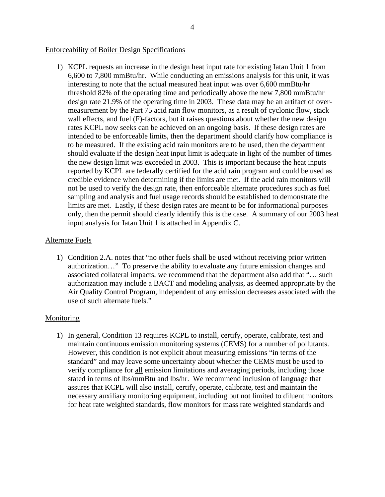### Enforceability of Boiler Design Specifications

1) KCPL requests an increase in the design heat input rate for existing Iatan Unit 1 from 6,600 to 7,800 mmBtu/hr. While conducting an emissions analysis for this unit, it was interesting to note that the actual measured heat input was over 6,600 mmBtu/hr threshold 82% of the operating time and periodically above the new 7,800 mmBtu/hr design rate 21.9% of the operating time in 2003. These data may be an artifact of overmeasurement by the Part 75 acid rain flow monitors, as a result of cyclonic flow, stack wall effects, and fuel (F)-factors, but it raises questions about whether the new design rates KCPL now seeks can be achieved on an ongoing basis. If these design rates are intended to be enforceable limits, then the department should clarify how compliance is to be measured. If the existing acid rain monitors are to be used, then the department should evaluate if the design heat input limit is adequate in light of the number of times the new design limit was exceeded in 2003. This is important because the heat inputs reported by KCPL are federally certified for the acid rain program and could be used as credible evidence when determining if the limits are met. If the acid rain monitors will not be used to verify the design rate, then enforceable alternate procedures such as fuel sampling and analysis and fuel usage records should be established to demonstrate the limits are met. Lastly, if these design rates are meant to be for informational purposes only, then the permit should clearly identify this is the case. A summary of our 2003 heat input analysis for Iatan Unit 1 is attached in Appendix C.

### Alternate Fuels

1) Condition 2.A. notes that "no other fuels shall be used without receiving prior written authorization…" To preserve the ability to evaluate any future emission changes and associated collateral impacts, we recommend that the department also add that "… such authorization may include a BACT and modeling analysis, as deemed appropriate by the Air Quality Control Program, independent of any emission decreases associated with the use of such alternate fuels."

## Monitoring

1) In general, Condition 13 requires KCPL to install, certify, operate, calibrate, test and maintain continuous emission monitoring systems (CEMS) for a number of pollutants. However, this condition is not explicit about measuring emissions "in terms of the standard" and may leave some uncertainty about whether the CEMS must be used to verify compliance for all emission limitations and averaging periods, including those stated in terms of lbs/mmBtu and lbs/hr. We recommend inclusion of language that assures that KCPL will also install, certify, operate, calibrate, test and maintain the necessary auxiliary monitoring equipment, including but not limited to diluent monitors for heat rate weighted standards, flow monitors for mass rate weighted standards and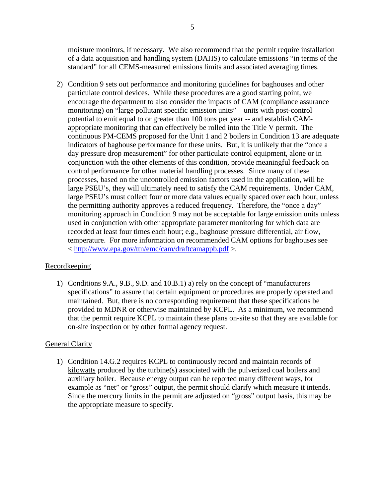moisture monitors, if necessary. We also recommend that the permit require installation of a data acquisition and handling system (DAHS) to calculate emissions "in terms of the standard" for all CEMS-measured emissions limits and associated averaging times.

2) Condition 9 sets out performance and monitoring guidelines for baghouses and other particulate control devices. While these procedures are a good starting point, we encourage the department to also consider the impacts of CAM (compliance assurance monitoring) on "large pollutant specific emission units" – units with post-control potential to emit equal to or greater than 100 tons per year -- and establish CAMappropriate monitoring that can effectively be rolled into the Title V permit. The continuous PM-CEMS proposed for the Unit 1 and 2 boilers in Condition 13 are adequate indicators of baghouse performance for these units. But, it is unlikely that the "once a day pressure drop measurement" for other particulate control equipment, alone or in conjunction with the other elements of this condition, provide meaningful feedback on control performance for other material handling processes. Since many of these processes, based on the uncontrolled emission factors used in the application, will be large PSEU's, they will ultimately need to satisfy the CAM requirements. Under CAM, large PSEU's must collect four or more data values equally spaced over each hour, unless the permitting authority approves a reduced frequency. Therefore, the "once a day" monitoring approach in Condition 9 may not be acceptable for large emission units unless used in conjunction with other appropriate parameter monitoring for which data are recorded at least four times each hour; e.g., baghouse pressure differential, air flow, temperature. For more information on recommended CAM options for baghouses see < <http://www.epa.gov/ttn/emc/cam/draftcamappb.pdf>>.

# Recordkeeping

1) Conditions 9.A., 9.B., 9.D. and 10.B.1) a) rely on the concept of "manufacturers specifications" to assure that certain equipment or procedures are properly operated and maintained. But, there is no corresponding requirement that these specifications be provided to MDNR or otherwise maintained by KCPL. As a minimum, we recommend that the permit require KCPL to maintain these plans on-site so that they are available for on-site inspection or by other formal agency request.

## General Clarity

1) Condition 14.G.2 requires KCPL to continuously record and maintain records of kilowatts produced by the turbine(s) associated with the pulverized coal boilers and auxiliary boiler. Because energy output can be reported many different ways, for example as "net" or "gross" output, the permit should clarify which measure it intends. Since the mercury limits in the permit are adjusted on "gross" output basis, this may be the appropriate measure to specify.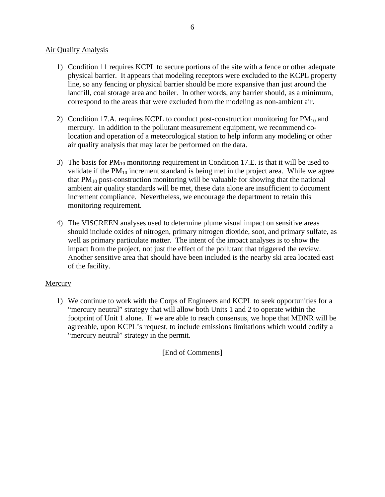## Air Quality Analysis

- 1) Condition 11 requires KCPL to secure portions of the site with a fence or other adequate physical barrier. It appears that modeling receptors were excluded to the KCPL property line, so any fencing or physical barrier should be more expansive than just around the landfill, coal storage area and boiler. In other words, any barrier should, as a minimum, correspond to the areas that were excluded from the modeling as non-ambient air.
- 2) Condition 17.A. requires KCPL to conduct post-construction monitoring for  $PM_{10}$  and mercury. In addition to the pollutant measurement equipment, we recommend colocation and operation of a meteorological station to help inform any modeling or other air quality analysis that may later be performed on the data.
- 3) The basis for  $PM_{10}$  monitoring requirement in Condition 17.E. is that it will be used to validate if the  $PM_{10}$  increment standard is being met in the project area. While we agree that  $PM_{10}$  post-construction monitoring will be valuable for showing that the national ambient air quality standards will be met, these data alone are insufficient to document increment compliance. Nevertheless, we encourage the department to retain this monitoring requirement.
- 4) The VISCREEN analyses used to determine plume visual impact on sensitive areas should include oxides of nitrogen, primary nitrogen dioxide, soot, and primary sulfate, as well as primary particulate matter. The intent of the impact analyses is to show the impact from the project, not just the effect of the pollutant that triggered the review. Another sensitive area that should have been included is the nearby ski area located east of the facility.

## **Mercury**

1) We continue to work with the Corps of Engineers and KCPL to seek opportunities for a "mercury neutral" strategy that will allow both Units 1 and 2 to operate within the footprint of Unit 1 alone. If we are able to reach consensus, we hope that MDNR will be agreeable, upon KCPL's request, to include emissions limitations which would codify a "mercury neutral" strategy in the permit.

[End of Comments]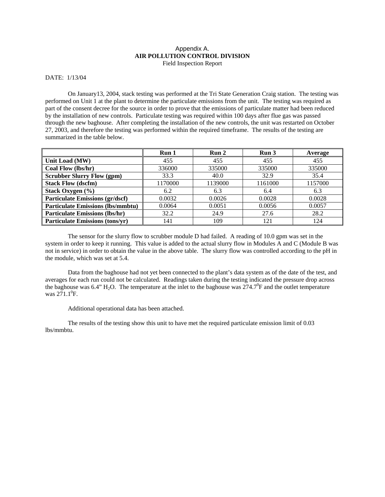#### Appendix A. **AIR POLLUTION CONTROL DIVISION**  Field Inspection Report

#### DATE: 1/13/04

On January13, 2004, stack testing was performed at the Tri State Generation Craig station. The testing was performed on Unit 1 at the plant to determine the particulate emissions from the unit. The testing was required as part of the consent decree for the source in order to prove that the emissions of particulate matter had been reduced by the installation of new controls. Particulate testing was required within 100 days after flue gas was passed through the new baghouse. After completing the installation of the new controls, the unit was restarted on October 27, 2003, and therefore the testing was performed within the required timeframe. The results of the testing are summarized in the table below.

|                                          | Run 1   | Run 2   | Run 3   | Average |
|------------------------------------------|---------|---------|---------|---------|
| Unit Load (MW)                           | 455     | 455     | 455     | 455     |
| Coal Flow (lbs/hr)                       | 336000  | 335000  | 335000  | 335000  |
| <b>Scrubber Slurry Flow (gpm)</b>        | 33.3    | 40.0    | 32.9    | 35.4    |
| <b>Stack Flow (dscfm)</b>                | 1170000 | 1139000 | 1161000 | 1157000 |
| Stack Oxygen $(\% )$                     | 6.2     | 6.3     | 6.4     | 6.3     |
| <b>Particulate Emissions (gr/dscf)</b>   | 0.0032  | 0.0026  | 0.0028  | 0.0028  |
| <b>Particulate Emissions (lbs/mmbtu)</b> | 0.0064  | 0.0051  | 0.0056  | 0.0057  |
| <b>Particulate Emissions (lbs/hr)</b>    | 32.2    | 24.9    | 27.6    | 28.2    |
| <b>Particulate Emissions (tons/yr)</b>   | 141     | 109     | 121     | 124     |

The sensor for the slurry flow to scrubber module D had failed. A reading of 10.0 gpm was set in the system in order to keep it running. This value is added to the actual slurry flow in Modules A and C (Module B was not in service) in order to obtain the value in the above table. The slurry flow was controlled according to the pH in the module, which was set at 5.4.

Data from the baghouse had not yet been connected to the plant's data system as of the date of the test, and averages for each run could not be calculated. Readings taken during the testing indicated the pressure drop across the baghouse was 6.4" H<sub>2</sub>O. The temperature at the inlet to the baghouse was  $274.7^{\circ}$ F and the outlet temperature was  $271.1^{\circ}$ F.

#### Additional operational data has been attached.

The results of the testing show this unit to have met the required particulate emission limit of 0.03 lbs/mmbtu.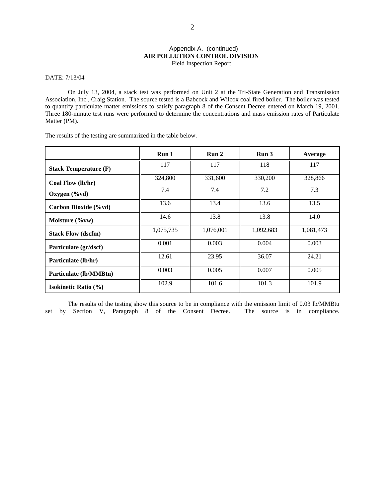#### Appendix A. (continued) **AIR POLLUTION CONTROL DIVISION**  Field Inspection Report

DATE: 7/13/04

On July 13, 2004, a stack test was performed on Unit 2 at the Tri-State Generation and Transmission Association, Inc., Craig Station. The source tested is a Babcock and Wilcox coal fired boiler. The boiler was tested to quantify particulate matter emissions to satisfy paragraph 8 of the Consent Decree entered on March 19, 2001. Three 180-minute test runs were performed to determine the concentrations and mass emission rates of Particulate Matter (PM).

The results of the testing are summarized in the table below.

|                                | Run 1     | Run <sub>2</sub> | Run <sub>3</sub> | Average   |
|--------------------------------|-----------|------------------|------------------|-----------|
| <b>Stack Temperature (F)</b>   | 117       | 117              | 118              | 117       |
| Coal Flow (lb/hr)              | 324,800   | 331,600          | 330,200          | 328,866   |
| Oxygen $(\% \text{vd})$        | 7.4       | 7.4              | 7.2              | 7.3       |
| Carbon Dioxide (%vd)           | 13.6      | 13.4             | 13.6             | 13.5      |
| Moisture $(\%vw)$              | 14.6      | 13.8             | 13.8             | 14.0      |
| <b>Stack Flow (dscfm)</b>      | 1,075,735 | 1,076,001        | 1,092,683        | 1,081,473 |
| Particulate (gr/dscf)          | 0.001     | 0.003            | 0.004            | 0.003     |
| Particulate (lb/hr)            | 12.61     | 23.95            | 36.07            | 24.21     |
| Particulate (lb/MMBtu)         | 0.003     | 0.005            | 0.007            | 0.005     |
| <b>Isokinetic Ratio</b> $(\%)$ | 102.9     | 101.6            | 101.3            | 101.9     |

The results of the testing show this source to be in compliance with the emission limit of 0.03 lb/MMBtu set by Section V, Paragraph 8 of the Consent Decree. The source is in compliance.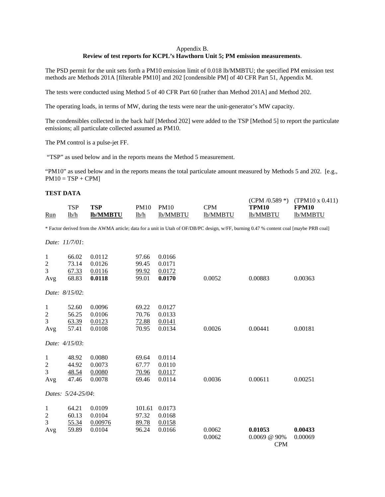#### Appendix B. **Review of test reports for KCPL's Hawthorn Unit 5; PM emission measurements**.

The PSD permit for the unit sets forth a PM10 emission limit of 0.018 lb/MMBTU; the specified PM emission test methods are Methods 201A [filterable PM10] and 202 [condensible PM] of 40 CFR Part 51, Appendix M.

The tests were conducted using Method 5 of 40 CFR Part 60 [rather than Method 201A] and Method 202.

The operating loads, in terms of MW, during the tests were near the unit-generator's MW capacity.

The condensibles collected in the back half [Method 202] were added to the TSP [Method 5] to report the particulate emissions; all particulate collected assumed as PM10.

The PM control is a pulse-jet FF.

"TSP" as used below and in the reports means the Method 5 measurement.

"PM10" as used below and in the reports means the total particulate amount measured by Methods 5 and 202. [e.g.,  $PM10 = TSP + CPM$ 

#### **TEST DATA**

| Run            | <b>TSP</b><br>1b/h | <b>TSP</b><br><b>lb/MMBTU</b> | <b>PM10</b><br>1b/h | <b>PM10</b><br>lb/MMBTU | <b>CPM</b><br>lb/MMBTU                                                                                                                 | (CPM $/0.589$ *)<br><b>TPM10</b><br>lb/MMBTU | $(TPM10 \times 0.411)$<br><b>FPM10</b><br>lb/MMBTU |
|----------------|--------------------|-------------------------------|---------------------|-------------------------|----------------------------------------------------------------------------------------------------------------------------------------|----------------------------------------------|----------------------------------------------------|
|                |                    |                               |                     |                         | * Factor derived from the AWMA article; data for a unit in Utah of OF/DB/PC design, w/FF, burning 0.47 % content coal [maybe PRB coal] |                                              |                                                    |
|                | Date: 11/7/01:     |                               |                     |                         |                                                                                                                                        |                                              |                                                    |
| $\mathbf{1}$   | 66.02              | 0.0112                        | 97.66               | 0.0166                  |                                                                                                                                        |                                              |                                                    |
| $\mathbf{2}$   | 73.14              | 0.0126                        | 99.45               | 0.0171                  |                                                                                                                                        |                                              |                                                    |
| 3              | 67.33              | 0.0116                        | 99.92               | 0.0172                  |                                                                                                                                        |                                              |                                                    |
| Avg            | 68.83              | 0.0118                        | 99.01               | 0.0170                  | 0.0052                                                                                                                                 | 0.00883                                      | 0.00363                                            |
|                | Date: 8/15/02:     |                               |                     |                         |                                                                                                                                        |                                              |                                                    |
| $\mathbf{1}$   | 52.60              | 0.0096                        | 69.22               | 0.0127                  |                                                                                                                                        |                                              |                                                    |
| $\overline{c}$ | 56.25              | 0.0106                        | 70.76               | 0.0133                  |                                                                                                                                        |                                              |                                                    |
| 3              | 63.39              | 0.0123                        | 72.88               | 0.0141                  |                                                                                                                                        |                                              |                                                    |
| Avg            | 57.41              | 0.0108                        | 70.95               | 0.0134                  | 0.0026                                                                                                                                 | 0.00441                                      | 0.00181                                            |
|                | Date: 4/15/03:     |                               |                     |                         |                                                                                                                                        |                                              |                                                    |
| 1              | 48.92              | 0.0080                        | 69.64               | 0.0114                  |                                                                                                                                        |                                              |                                                    |
| $\overline{c}$ | 44.92              | 0.0073                        | 67.77               | 0.0110                  |                                                                                                                                        |                                              |                                                    |
| 3              | 48.54              | 0.0080                        | 70.96               | 0.0117                  |                                                                                                                                        |                                              |                                                    |
| Avg            | 47.46              | 0.0078                        | 69.46               | 0.0114                  | 0.0036                                                                                                                                 | 0.00611                                      | 0.00251                                            |
|                | Dates: 5/24-25/04: |                               |                     |                         |                                                                                                                                        |                                              |                                                    |
| $\mathbf{1}$   | 64.21              | 0.0109                        | 101.61              | 0.0173                  |                                                                                                                                        |                                              |                                                    |
| $\overline{c}$ | 60.13              | 0.0104                        | 97.32               | 0.0168                  |                                                                                                                                        |                                              |                                                    |
| 3              | 55.34              | 0.00976                       | 89.78               | 0.0158                  |                                                                                                                                        |                                              |                                                    |
| Avg            | 59.89              | 0.0104                        | 96.24               | 0.0166                  | 0.0062                                                                                                                                 | 0.01053                                      | 0.00433                                            |
|                |                    |                               |                     |                         | 0.0062                                                                                                                                 | $0.0069$ @ 90%                               | 0.00069                                            |
|                |                    |                               |                     |                         |                                                                                                                                        | <b>CPM</b>                                   |                                                    |